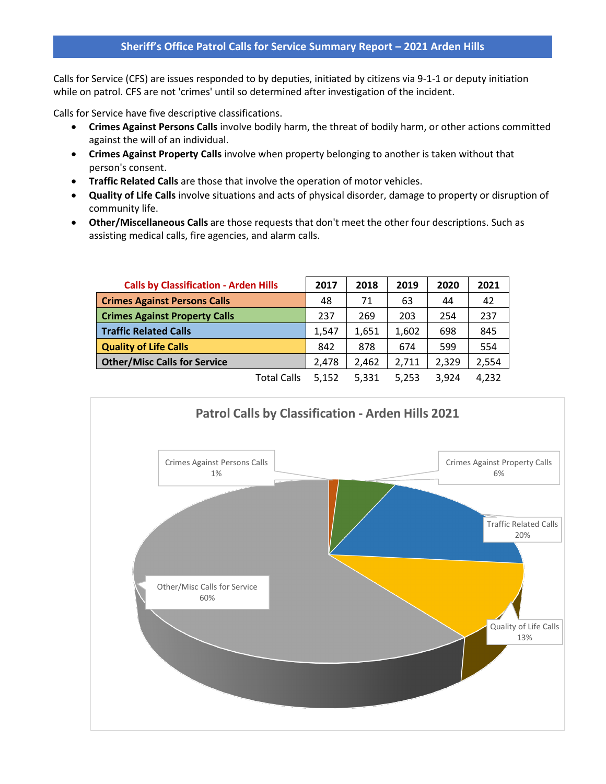Calls for Service (CFS) are issues responded to by deputies, initiated by citizens via 9-1-1 or deputy initiation while on patrol. CFS are not 'crimes' until so determined after investigation of the incident.

Calls for Service have five descriptive classifications.

- **Crimes Against Persons Calls** involve bodily harm, the threat of bodily harm, or other actions committed against the will of an individual.
- **Crimes Against Property Calls** involve when property belonging to another is taken without that person's consent.
- **Traffic Related Calls** are those that involve the operation of motor vehicles.
- **Quality of Life Calls** involve situations and acts of physical disorder, damage to property or disruption of community life.
- **Other/Miscellaneous Calls** are those requests that don't meet the other four descriptions. Such as assisting medical calls, fire agencies, and alarm calls.

| <b>Calls by Classification - Arden Hills</b> | 2017  | 2018  | 2019  | 2020  | 2021  |
|----------------------------------------------|-------|-------|-------|-------|-------|
| <b>Crimes Against Persons Calls</b>          | 48    | 71    | 63    | 44    | 42    |
| <b>Crimes Against Property Calls</b>         | 237   | 269   | 203   | 254   | 237   |
| <b>Traffic Related Calls</b>                 | 1.547 | 1,651 | 1,602 | 698   | 845   |
| <b>Quality of Life Calls</b>                 | 842   | 878   | 674   | 599   | 554   |
| <b>Other/Misc Calls for Service</b>          | 2,478 | 2,462 | 2,711 | 2,329 | 2,554 |
| <b>Total Calls</b>                           | 5.152 | 5.331 | 5.253 | 3.924 | 4,232 |

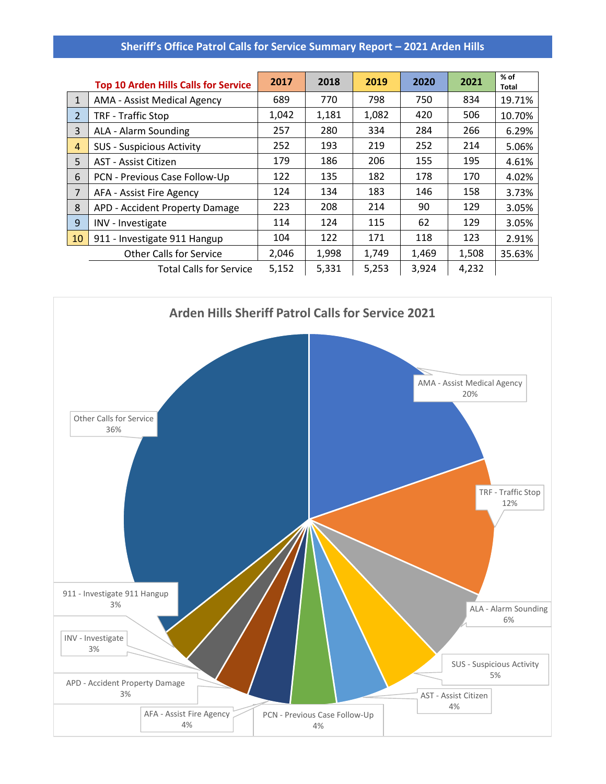| <b>Top 10 Arden Hills Calls for Service</b> |                                    | 2017  | 2018  | 2019  | 2020  | 2021  | $%$ of<br><b>Total</b> |
|---------------------------------------------|------------------------------------|-------|-------|-------|-------|-------|------------------------|
| $\mathbf{1}$                                | <b>AMA - Assist Medical Agency</b> | 689   | 770   | 798   | 750   | 834   | 19.71%                 |
| 2                                           | TRF - Traffic Stop                 | 1,042 | 1,181 | 1,082 | 420   | 506   | 10.70%                 |
| 3                                           | ALA - Alarm Sounding               | 257   | 280   | 334   | 284   | 266   | 6.29%                  |
| 4                                           | <b>SUS - Suspicious Activity</b>   | 252   | 193   | 219   | 252   | 214   | 5.06%                  |
| 5                                           | AST - Assist Citizen               | 179   | 186   | 206   | 155   | 195   | 4.61%                  |
| 6                                           | PCN - Previous Case Follow-Up      | 122   | 135   | 182   | 178   | 170   | 4.02%                  |
| 7                                           | AFA - Assist Fire Agency           | 124   | 134   | 183   | 146   | 158   | 3.73%                  |
| 8                                           | APD - Accident Property Damage     | 223   | 208   | 214   | 90    | 129   | 3.05%                  |
| 9                                           | INV - Investigate                  | 114   | 124   | 115   | 62    | 129   | 3.05%                  |
| 10                                          | 911 - Investigate 911 Hangup       | 104   | 122   | 171   | 118   | 123   | 2.91%                  |
|                                             | <b>Other Calls for Service</b>     | 2,046 | 1,998 | 1,749 | 1,469 | 1,508 | 35.63%                 |
|                                             | <b>Total Calls for Service</b>     | 5,152 | 5,331 | 5,253 | 3,924 | 4,232 |                        |

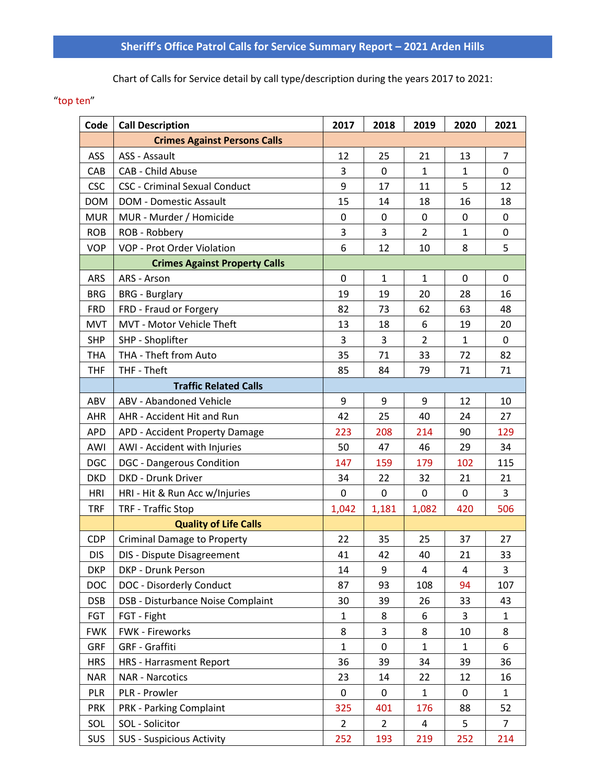Chart of Calls for Service detail by call type/description during the years 2017 to 2021:

### "top ten"

| Code       | <b>Call Description</b>              | 2017           | 2018           | 2019           | 2020         | 2021           |
|------------|--------------------------------------|----------------|----------------|----------------|--------------|----------------|
|            | <b>Crimes Against Persons Calls</b>  |                |                |                |              |                |
| ASS        | ASS - Assault                        | 12             | 25             | 21             | 13           | $\overline{7}$ |
| CAB        | CAB - Child Abuse                    | 3              | 0              | $\mathbf{1}$   | $\mathbf{1}$ | $\mathbf 0$    |
| <b>CSC</b> | <b>CSC - Criminal Sexual Conduct</b> | 9              | 17             | 11             | 5            | 12             |
| <b>DOM</b> | DOM - Domestic Assault               | 15             | 14             | 18             | 16           | 18             |
| <b>MUR</b> | MUR - Murder / Homicide              | 0              | 0              | 0              | 0            | 0              |
| <b>ROB</b> | ROB - Robbery                        | 3              | 3              | $\overline{2}$ | $\mathbf{1}$ | 0              |
| <b>VOP</b> | VOP - Prot Order Violation           | 6              | 12             | 10             | 8            | 5              |
|            | <b>Crimes Against Property Calls</b> |                |                |                |              |                |
| ARS        | ARS - Arson                          | 0              | $\mathbf{1}$   | $\mathbf{1}$   | 0            | 0              |
| <b>BRG</b> | <b>BRG</b> - Burglary                | 19             | 19             | 20             | 28           | 16             |
| <b>FRD</b> | FRD - Fraud or Forgery               | 82             | 73             | 62             | 63           | 48             |
| <b>MVT</b> | MVT - Motor Vehicle Theft            | 13             | 18             | 6              | 19           | 20             |
| <b>SHP</b> | SHP - Shoplifter                     | 3              | 3              | $\overline{2}$ | $\mathbf{1}$ | 0              |
| <b>THA</b> | THA - Theft from Auto                | 35             | 71             | 33             | 72           | 82             |
| <b>THF</b> | THF - Theft                          | 85             | 84             | 79             | 71           | 71             |
|            | <b>Traffic Related Calls</b>         |                |                |                |              |                |
| ABV        | ABV - Abandoned Vehicle              | 9              | 9              | 9              | 12           | 10             |
| <b>AHR</b> | AHR - Accident Hit and Run           | 42             | 25             | 40             | 24           | 27             |
| <b>APD</b> | APD - Accident Property Damage       | 223            | 208            | 214            | 90           | 129            |
| AWI        | AWI - Accident with Injuries         | 50             | 47             | 46             | 29           | 34             |
| <b>DGC</b> | <b>DGC</b> - Dangerous Condition     | 147            | 159            | 179            | 102          | 115            |
| <b>DKD</b> | DKD - Drunk Driver                   | 34             | 22             | 32             | 21           | 21             |
| <b>HRI</b> | HRI - Hit & Run Acc w/Injuries       | 0              | 0              | $\mathbf 0$    | $\mathbf 0$  | 3              |
| <b>TRF</b> | <b>TRF - Traffic Stop</b>            | 1,042          | 1,181          | 1,082          | 420          | 506            |
|            | <b>Quality of Life Calls</b>         |                |                |                |              |                |
| <b>CDP</b> | <b>Criminal Damage to Property</b>   | 22             | 35             | 25             | 37           | 27             |
| <b>DIS</b> | DIS - Dispute Disagreement           | 41             | 42             | 40             | 21           | 33             |
| <b>DKP</b> | DKP - Drunk Person                   | 14             | 9              | $\overline{4}$ | 4            | 3              |
| <b>DOC</b> | DOC - Disorderly Conduct             | 87             | 93             | 108            | 94           | 107            |
| <b>DSB</b> | DSB - Disturbance Noise Complaint    | 30             | 39             | 26             | 33           | 43             |
| FGT        | FGT - Fight                          | $\mathbf{1}$   | 8              | 6              | 3            | $\mathbf{1}$   |
| <b>FWK</b> | FWK - Fireworks                      | 8              | 3              | 8              | 10           | 8              |
| GRF        | <b>GRF</b> - Graffiti                | $\mathbf{1}$   | 0              | $\mathbf{1}$   | $\mathbf{1}$ | 6              |
| <b>HRS</b> | <b>HRS - Harrasment Report</b>       | 36             | 39             | 34             | 39           | 36             |
| <b>NAR</b> | <b>NAR - Narcotics</b>               | 23             | 14             | 22             | 12           | 16             |
| PLR        | PLR - Prowler                        | 0              | 0              | 1              | 0            | 1              |
| <b>PRK</b> | <b>PRK - Parking Complaint</b>       | 325            | 401            | 176            | 88           | 52             |
| SOL        | SOL - Solicitor                      | $\overline{2}$ | $\overline{2}$ | 4              | 5            | $\overline{7}$ |
| SUS        | <b>SUS - Suspicious Activity</b>     | 252            | 193            | 219            | 252          | 214            |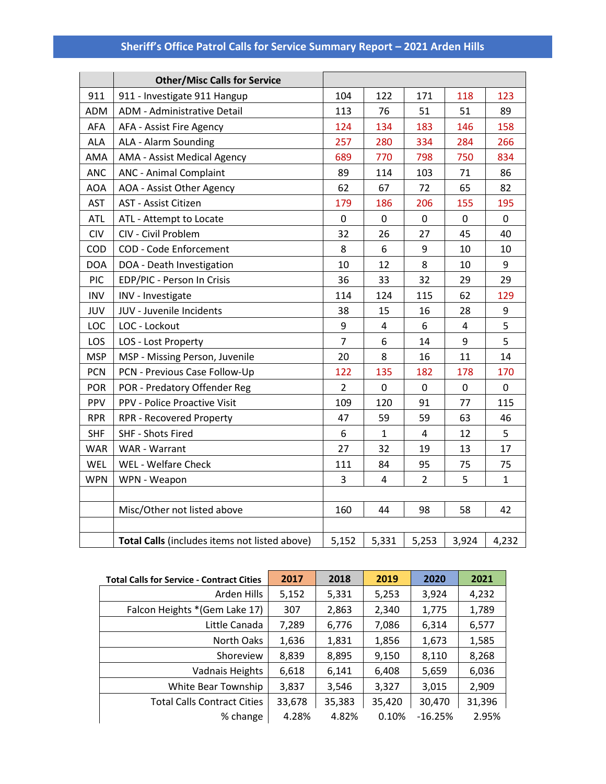|            | <b>Other/Misc Calls for Service</b>           |                |              |                |                |              |
|------------|-----------------------------------------------|----------------|--------------|----------------|----------------|--------------|
| 911        | 911 - Investigate 911 Hangup                  | 104            | 122          | 171            | 118            | 123          |
| ADM        | ADM - Administrative Detail                   | 113            | 76           | 51             | 51             | 89           |
| <b>AFA</b> | AFA - Assist Fire Agency                      | 124            | 134          | 183            | 146            | 158          |
| ALA        | ALA - Alarm Sounding                          | 257            | 280          | 334            | 284            | 266          |
| AMA        | AMA - Assist Medical Agency                   | 689            | 770          | 798            | 750            | 834          |
| <b>ANC</b> | <b>ANC - Animal Complaint</b>                 | 89             | 114          | 103            | 71             | 86           |
| <b>AOA</b> | AOA - Assist Other Agency                     | 62             | 67           | 72             | 65             | 82           |
| <b>AST</b> | AST - Assist Citizen                          | 179            | 186          | 206            | 155            | 195          |
| <b>ATL</b> | ATL - Attempt to Locate                       | 0              | 0            | 0              | 0              | 0            |
| <b>CIV</b> | CIV - Civil Problem                           | 32             | 26           | 27             | 45             | 40           |
| COD        | <b>COD - Code Enforcement</b>                 | 8              | 6            | 9              | 10             | 10           |
| <b>DOA</b> | DOA - Death Investigation                     | 10             | 12           | 8              | 10             | 9            |
| <b>PIC</b> | EDP/PIC - Person In Crisis                    | 36             | 33           | 32             | 29             | 29           |
| <b>INV</b> | INV - Investigate                             | 114            | 124          | 115            | 62             | 129          |
| JUV        | JUV - Juvenile Incidents                      | 38             | 15           | 16             | 28             | 9            |
| LOC        | LOC - Lockout                                 | 9              | 4            | 6              | $\overline{4}$ | 5            |
| LOS        | LOS - Lost Property                           | $\overline{7}$ | 6            | 14             | 9              | 5            |
| <b>MSP</b> | MSP - Missing Person, Juvenile                | 20             | 8            | 16             | 11             | 14           |
| <b>PCN</b> | PCN - Previous Case Follow-Up                 | 122            | 135          | 182            | 178            | 170          |
| POR        | POR - Predatory Offender Reg                  | $\overline{2}$ | $\mathbf 0$  | $\mathbf 0$    | 0              | 0            |
| PPV        | PPV - Police Proactive Visit                  | 109            | 120          | 91             | 77             | 115          |
| <b>RPR</b> | <b>RPR - Recovered Property</b>               | 47             | 59           | 59             | 63             | 46           |
| <b>SHF</b> | SHF - Shots Fired                             | 6              | $\mathbf{1}$ | $\overline{4}$ | 12             | 5            |
| <b>WAR</b> | WAR - Warrant                                 | 27             | 32           | 19             | 13             | 17           |
| <b>WEL</b> | WEL - Welfare Check                           | 111            | 84           | 95             | 75             | 75           |
| <b>WPN</b> | WPN - Weapon                                  | 3              | 4            | $\overline{2}$ | 5              | $\mathbf{1}$ |
|            |                                               |                |              |                |                |              |
|            | Misc/Other not listed above                   | 160            | 44           | 98             | 58             | 42           |
|            |                                               |                |              |                |                |              |
|            | Total Calls (includes items not listed above) | 5,152          | 5,331        | 5,253          | 3,924          | 4,232        |

| <b>Total Calls for Service - Contract Cities</b> | 2017   | 2018   | 2019   | 2020      | 2021   |
|--------------------------------------------------|--------|--------|--------|-----------|--------|
| Arden Hills                                      | 5,152  | 5,331  | 5,253  | 3,924     | 4,232  |
| Falcon Heights * (Gem Lake 17)                   | 307    | 2,863  | 2,340  | 1,775     | 1,789  |
| Little Canada                                    | 7,289  | 6,776  | 7,086  | 6,314     | 6,577  |
| North Oaks                                       | 1,636  | 1,831  | 1,856  | 1,673     | 1,585  |
| Shoreview                                        | 8,839  | 8,895  | 9,150  | 8,110     | 8,268  |
| Vadnais Heights                                  | 6,618  | 6,141  | 6,408  | 5,659     | 6,036  |
| White Bear Township                              | 3,837  | 3,546  | 3,327  | 3,015     | 2,909  |
| <b>Total Calls Contract Cities</b>               | 33,678 | 35,383 | 35,420 | 30,470    | 31,396 |
| % change                                         | 4.28%  | 4.82%  | 0.10%  | $-16.25%$ | 2.95%  |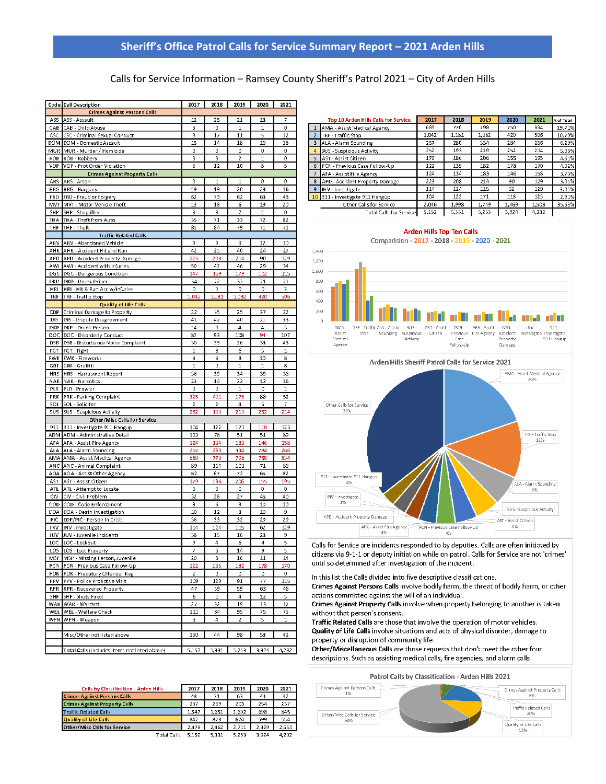#### Calls for Service Information - Ramsey County Sheriff's Patrol 2021 - City of Arden Hills

|                  | Code Call Description                            | 2017           | 2018           | 2019              | 2020         | 2021           |
|------------------|--------------------------------------------------|----------------|----------------|-------------------|--------------|----------------|
|                  | <b>Crimes Against Persons Calls</b>              |                |                |                   |              |                |
| ASS              | ASS - Assault                                    | 12             | 25             | 21                | 13           | 7              |
| CAB              | CAB - Child Abuse                                | 3              | 0              | $\mathbf 1$       | $\mathbf{1}$ | 0              |
| csc              | CSC - Criminal Sexual Conduct                    | ۹              | 17             | 11                | 5            | 12             |
|                  | DOM DOM - Domestic Assault                       | 15             | 14             | 18                | 16           | 18             |
| MUR <sup>1</sup> | MUR - Murder / Homicide                          | 0              | 0              | 0                 | 0            | 0              |
| <b>ROB</b>       | ROB - Robbery                                    | 3              | з              | $\overline{2}$    | 1            | 0              |
| VOP              | VOP - Prot Order Violation                       | 6              | 12             | 10                | 8            | 5              |
|                  | <b>Crimes Against Property Calls</b>             |                |                |                   | 0            |                |
| ARS<br>BRG       | ARS - Arson                                      | 0<br>19        | 1<br>19        | $\mathbf 1$<br>20 | 28           | 0<br>16        |
| <b>FRD</b>       | <b>BRG</b> - Burglary<br>FRD - Fraud or Forgery  | 82             | 73             | 62                | 63           | 48             |
| MVT              | MVT - Motor Vehicle Theft                        | 13             | 18             | 6                 | 19           | 20             |
| <b>SHP</b>       | SHP - Shoplifter                                 | 3              | 3              | 2                 | 1            | 0              |
| THA              | THA - Theft from Auto                            | 35             | 71             | 33                | 72           | 82             |
| THF              | THF - Theft                                      | 85             | 84             | 79                | 71           | 71             |
|                  | <b>Traffic Related Calls</b>                     |                |                |                   |              |                |
| ABV              | ABV - Abandoned Vehicle                          | 9              | 9              | 9                 | 12           | 10             |
|                  | AHR AHR - Accident Hit and Run                   | 42             | 25             | 40                | 24           | 27             |
| APD.             | APD - Accident Property Damage                   | 223            | 208            | 214               | 90           | 129            |
|                  | AWI AWI - Accident with Injuries                 | 50             | 47             | 46                | 29           | 34             |
| DGC              | DGC - Dangerous Condition                        | 147            | 159            | 179               | 102          | 115            |
| <b>DKD</b>       | DKD - Drunk Driver                               | 34             | 22             | 32                | 21           | 21             |
| HRI              | HRI - Hit & Run Acc w/Injuries                   | 0              | 0              | 0                 | 0            | 3              |
| TRF              | TRF - Traffic Stop                               | 1.042          | 1,181          | 1,082             | 420          | 506            |
|                  | <b>Quality of Life Calls</b>                     |                |                |                   |              |                |
| ĊDР              | Criminal Damage to Property                      | 22             | 35             | 25                | 37           | 27             |
| DIS              | DIS - Dispute Disagreement                       | 41             | 42             | 40                | 21           | 33             |
| <b>DKP</b>       | DKP - Drunk Person                               | 14             | 9              | 4                 | 4            | 3              |
| DOC              | DOC - Disorderly Conduct                         | 87             | 93             | 108               | 94           | 107            |
| DSB              | DSB - Disturbance Noise Complaint                | 30             | 39             | 26                | 33           | 43             |
| FGT              | FGT - Fight                                      | $\mathbf 1$    | 8              | 6                 | 3            | 1              |
|                  | FWK FWK - Fireworks                              | 8              | 3              | 8                 | 10           | 8              |
| GRF              | GRF - Graffiti                                   | 1              | 0              | 1                 | 1            | 6              |
| <b>HRS</b>       | <b>HRS</b> - Harrasment Report                   | 36             | 39             | 34                | 39           | 36             |
| NAR.             | NAR - Narcotics                                  | 23             | 14             | 22                | 12           | 16             |
| PLR              | PLR - Prowler                                    | 0              | 0              | 1                 | 0            | 1              |
| PRK              | PRK - Parking Complaint                          | 325            | 401            | 176               | 88           | 52             |
| SOL              | SOL - Solicitor                                  | $\overline{2}$ | $\overline{2}$ | 4                 | 5            | 7              |
| SUS              | <b>SUS - Suspicious Activity</b>                 | 252            | 193            | 219               | 252          | 214            |
| 911              | Other/Misc Calls for Service                     |                |                |                   |              |                |
| ADM              | 911 - Investigate 911 Hangup                     | 104<br>113     | 122<br>76      | 171<br>51         | 118<br>51    | 123<br>89      |
| AFA              | ADM - Administrative Detail                      | 124            | 134            |                   |              | 158            |
| ALA              | AFA - Assist Fire Agency<br>ALA - Alarm Sounding | 257            | 280            | 183<br>334        | 146<br>284   | 266            |
| AMA              | AMA - Assist Medical Agency                      | 689            | 770            | 798               | 750          | 834            |
| ANC              | ANC - Animal Complaint                           | 89             | 114            | 103               | 71           | 86             |
| AOA              | AOA - Assist Other Agency                        | 62             | 67             | 72                | 65           | 82             |
| AST              | AST - Assist Citizen                             | 179            | 186            | 206               | 155          | 195            |
| ATL              | ATL - Attempt to Locate                          | 0              | 0              | 0                 | 0            | 0              |
| CIV              | CIV - Civil Problem                              | 32             | 26             | 27                | 45           | 40             |
| <b>COD</b>       | COD - Code Enforcement                           | 8              | 6              | 9                 | 10           | 10             |
| DOA              | DOA - Death Investigation                        | 10             | 12             | 8                 | 10           | 9              |
| PIC              | EDP/PIC - Person In Crisis                       | 36             | 33             | 32                | 29           | 29             |
| INV              | INV - Investigate                                | 114            | 124            | 115               | 62           | 129            |
| JUν              | JUV - Juvenile Incidents                         | 38             | 15             | 16                | 28           | 9              |
| LOC              | LOC - Lockout                                    | 9              | 4              | 6                 | 4            | 5              |
|                  | LOS LOS - Lost Property                          | 7              | 6              | 14                | 9            | $\overline{2}$ |
|                  | MSP MSP - Missing Person, Juvenile               | 20             | 8              | 16                | 11           | 14             |
|                  | PCN PCN - Previous Case Follow-Up                | 122            | 135            | 182               | 178          | 170            |
|                  | POR POR - Predatory Offender Reg                 | 2              | 0              | 0                 | 0            | 0              |
|                  | PPV PPV - Police Proactive Visit                 | 109            | 120            | 91                | 77           | 115            |
| <b>RPR</b>       | <b>RPR - Recovered Property</b>                  | 47             | 59             | 59                | 63           | 46             |
| <b>SHF</b>       | SHF - Shots Fired                                | 6              | 1              | 4                 | 12           | 5              |
|                  | WAR WAR - Warrant                                | 27             | 32             | 19                | 13           | 17             |
| WEL              | WEL - Welfare Check                              | 111            | 84             | 95                | 75           | 75             |
| WPN              | WPN - Weapon                                     | 3              | 4              | 2                 | 5            | 1              |
|                  |                                                  |                |                |                   |              |                |
|                  | Misc/Other not listed above                      | 160            | 44             | 98                | 58           | 42             |
|                  |                                                  |                |                |                   |              |                |
|                  | Total Calls (includes items not listed above)    | 5,152          | 5,331          | 5,253             | 3,924        | 4,232          |

|                         | <b>Top 10 Arden Hills Calls for Service</b> | 2017  | 2018  | 2019  | 2020  | 2021  | % of Total |
|-------------------------|---------------------------------------------|-------|-------|-------|-------|-------|------------|
|                         | AMA - Assist Medical Agency                 | 689   | 770   | 798   | 750   | 834   | 19.71%     |
| $\overline{ }$          | TRF - Traffic Stop                          | 1.042 | 1,181 | 1.082 | 420   | 506   | 10.70%     |
|                         | ALA - Alarm Sounding                        | 257   | 280   | 334   | 284   | 266   | 6.29%      |
| $\Delta$                | SUS - Suspicious Activity                   | 252   | 193   | 219   | 252   | 214   | 5.06%      |
| 5                       | AST - Assist Citizen                        | 179   | 186   | 206   | 155   | 195   | 4.61%      |
| 6                       | PCN - Previous Case Follow-Up               | 122   | 135   | 182   | 178   | 170   | 4.02%      |
|                         | AFA - Assist Fire Agency                    | 124   | 134   | 183   | 146   | 158   | 3.73%      |
| 8                       | APD - Accident Property Damage              | 223   | 208   | 214   | 90    | 129   | 3.05%      |
| $\mathbf{9}$            | IINV - Investigate                          | 114   | 124   | 115   | 62    | 129   | 3.05%      |
| 10                      | 911 - Investigate 911 Hangup                | 104   | 122   | 171   | 118   | 123   | 2.91%      |
| Other Calls for Service |                                             | 2.046 | 1,998 | 1,749 | 1,469 | 1,508 | 35.63%     |
|                         | Total Calls for Service                     | 5,152 | 5,331 | 5.253 | 3.924 | 4.232 |            |







Calls for Service are incidents responded to by deputies. Calls are often initiated by citizens via 9-1-1 or deputy initiation while on patrol. Calls for Service are not 'crimes' until so determined after investigation of the incident.

In this list the Calls divided into five descriptive classifications.

Crimes Against Persons Calls involve bodily harm, the threat of bodily harm, or other actions committed against the will of an individual.

Crimes Against Property Calls involve when property belonging to another is taken without that person's consent.

Traffic Related Calls are those that involve the operation of motor vehicles. Quality of Life Calls involve situations and acts of physical disorder, damage to property or disruption of community life.

Other/Miscellaneous Calls are those requests that don't meet the other four descriptions. Such as assisting medical calls, fire agencies, and alarm calls.

| <b>Calls by Classification - Arden Hills</b> | 2017  | 2018  | 2019  | 2020  | 2021  |
|----------------------------------------------|-------|-------|-------|-------|-------|
| <b>Crimes Against Persons Calls</b>          | 48    | 71    | 63    | 44    | 42    |
| <b>Crimes Against Property Calls</b>         | 237   | 269   | 203   | 254   | 237   |
| <b>Traffic Related Calls</b>                 | 1.547 | 1.651 | 1.602 | 698   | 845   |
| <b>Quality of Life Calls</b>                 | 842   | 878   | 674   | 599   | 554   |
| Other/Misc Calls for Service                 | 2.478 | 2.462 | 2.711 | 2.329 | 2,554 |
| Total Calls                                  | 5.152 | 5.331 | 5.253 | 3.924 | 4.232 |

#### Patrol Calls by Classification - Arden Hills 2021